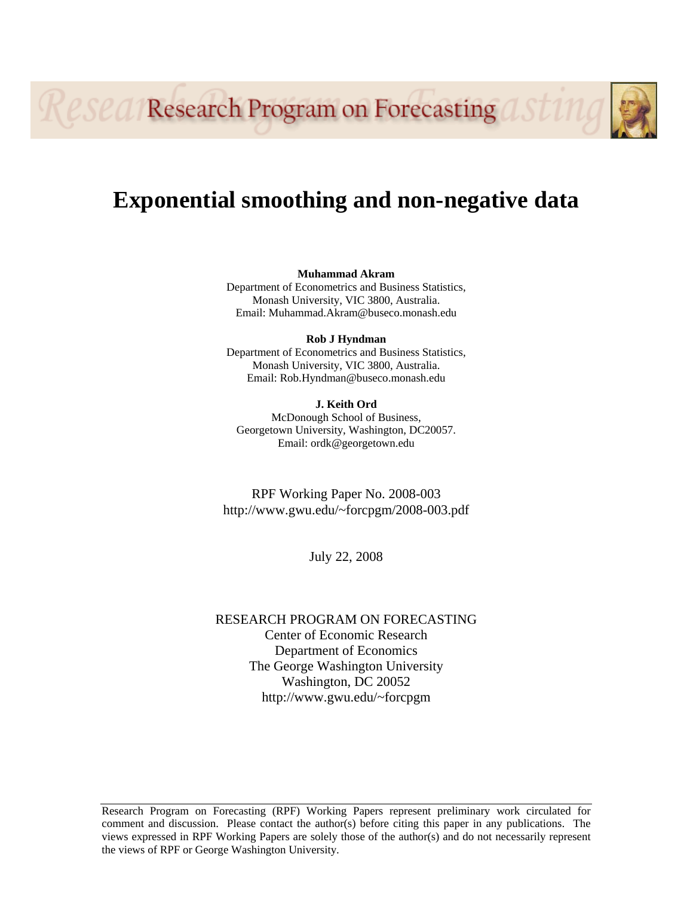**Research Program on Forecasting** 

# **Exponential smoothing and non-negative data**

**Muhammad Akram**  Department of Econometrics and Business Statistics, Monash University, VIC 3800, Australia. Email: Muhammad.Akram@buseco.monash.edu

**Rob J Hyndman**  Department of Econometrics and Business Statistics, Monash University, VIC 3800, Australia. Email: Rob.Hyndman@buseco.monash.edu

**J. Keith Ord**  McDonough School of Business, Georgetown University, Washington, DC20057. Email: ordk@georgetown.edu

RPF Working Paper No. 2008-003 http://www.gwu.edu/~forcpgm/2008-003.pdf

July 22, 2008

RESEARCH PROGRAM ON FORECASTING Center of Economic Research Department of Economics The George Washington University Washington, DC 20052 http://www.gwu.edu/~forcpgm

Research Program on Forecasting (RPF) Working Papers represent preliminary work circulated for comment and discussion. Please contact the author(s) before citing this paper in any publications. The views expressed in RPF Working Papers are solely those of the author(s) and do not necessarily represent the views of RPF or George Washington University.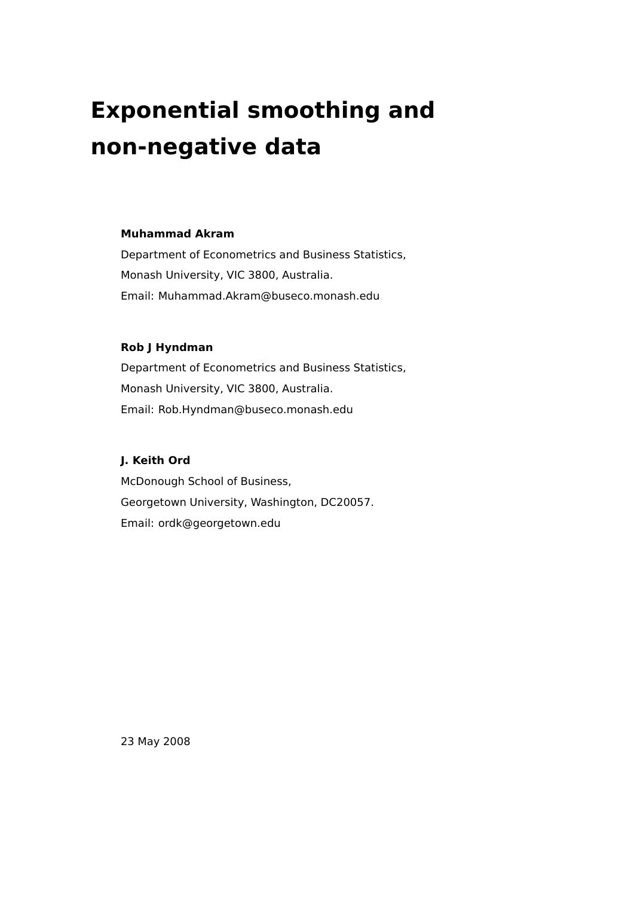# **Exponential smoothing and non-negative data**

#### **Muhammad Akram**

Department of Econometrics and Business Statistics, Monash University, VIC 3800, Australia. Email: Muhammad.Akram@buseco.monash.edu

#### **Rob J Hyndman**

Department of Econometrics and Business Statistics, Monash University, VIC 3800, Australia. Email: Rob.Hyndman@buseco.monash.edu

#### **J. Keith Ord**

McDonough School of Business, Georgetown University, Washington, DC20057. Email: ordk@georgetown.edu

23 May 2008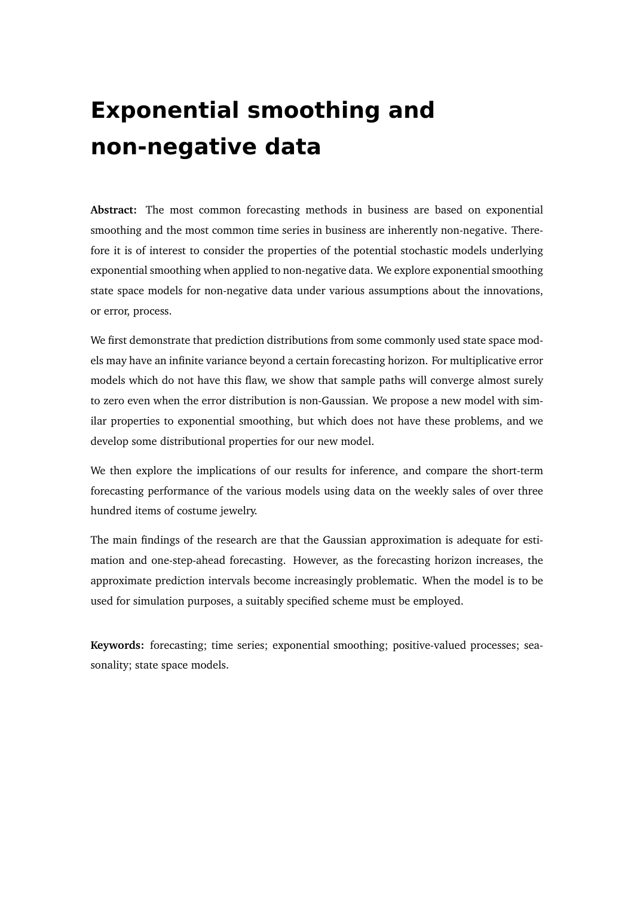# **Exponential smoothing and non-negative data**

**Abstract:** The most common forecasting methods in business are based on exponential smoothing and the most common time series in business are inherently non-negative. Therefore it is of interest to consider the properties of the potential stochastic models underlying exponential smoothing when applied to non-negative data. We explore exponential smoothing state space models for non-negative data under various assumptions about the innovations, or error, process.

We first demonstrate that prediction distributions from some commonly used state space models may have an infinite variance beyond a certain forecasting horizon. For multiplicative error models which do not have this flaw, we show that sample paths will converge almost surely to zero even when the error distribution is non-Gaussian. We propose a new model with similar properties to exponential smoothing, but which does not have these problems, and we develop some distributional properties for our new model.

We then explore the implications of our results for inference, and compare the short-term forecasting performance of the various models using data on the weekly sales of over three hundred items of costume jewelry.

The main findings of the research are that the Gaussian approximation is adequate for estimation and one-step-ahead forecasting. However, as the forecasting horizon increases, the approximate prediction intervals become increasingly problematic. When the model is to be used for simulation purposes, a suitably specified scheme must be employed.

**Keywords:** forecasting; time series; exponential smoothing; positive-valued processes; seasonality; state space models.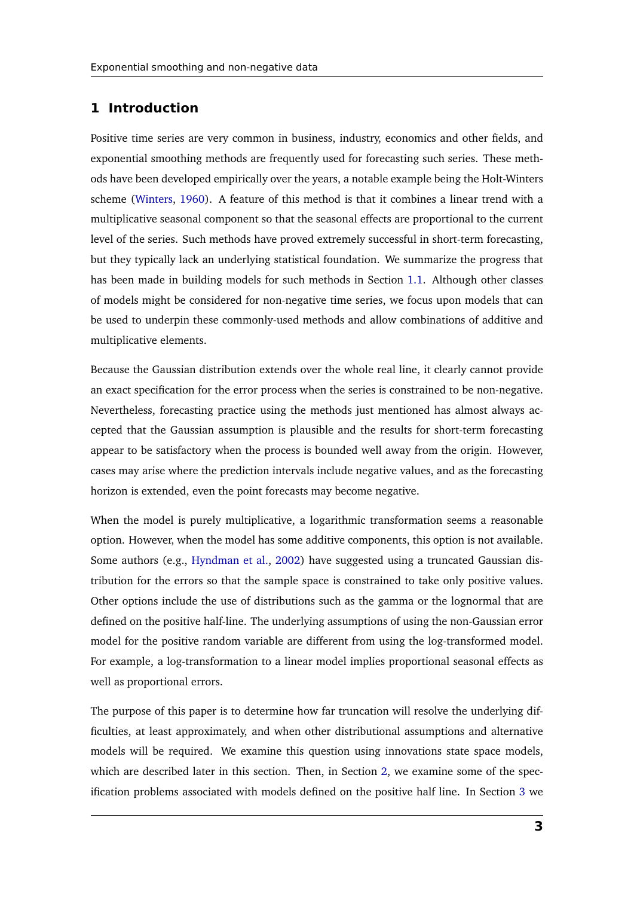#### **1 Introduction**

Positive time series are very common in business, industry, economics and other fields, and exponential smoothing methods are frequently used for forecasting such series. These methods have been developed empirically over the years, a notable example being the Holt-Winters scheme [\(Winters,](#page-24-0) [1960\)](#page-24-0). A feature of this method is that it combines a linear trend with a multiplicative seasonal component so that the seasonal effects are proportional to the current level of the series. Such methods have proved extremely successful in short-term forecasting, but they typically lack an underlying statistical foundation. We summarize the progress that has been made in building models for such methods in Section [1.1.](#page-4-0) Although other classes of models might be considered for non-negative time series, we focus upon models that can be used to underpin these commonly-used methods and allow combinations of additive and multiplicative elements.

Because the Gaussian distribution extends over the whole real line, it clearly cannot provide an exact specification for the error process when the series is constrained to be non-negative. Nevertheless, forecasting practice using the methods just mentioned has almost always accepted that the Gaussian assumption is plausible and the results for short-term forecasting appear to be satisfactory when the process is bounded well away from the origin. However, cases may arise where the prediction intervals include negative values, and as the forecasting horizon is extended, even the point forecasts may become negative.

When the model is purely multiplicative, a logarithmic transformation seems a reasonable option. However, when the model has some additive components, this option is not available. Some authors (e.g., [Hyndman et al.,](#page-24-1) [2002\)](#page-24-1) have suggested using a truncated Gaussian distribution for the errors so that the sample space is constrained to take only positive values. Other options include the use of distributions such as the gamma or the lognormal that are defined on the positive half-line. The underlying assumptions of using the non-Gaussian error model for the positive random variable are different from using the log-transformed model. For example, a log-transformation to a linear model implies proportional seasonal effects as well as proportional errors.

The purpose of this paper is to determine how far truncation will resolve the underlying difficulties, at least approximately, and when other distributional assumptions and alternative models will be required. We examine this question using innovations state space models, which are described later in this section. Then, in Section [2,](#page-6-0) we examine some of the specification problems associated with models defined on the positive half line. In Section [3](#page-9-0) we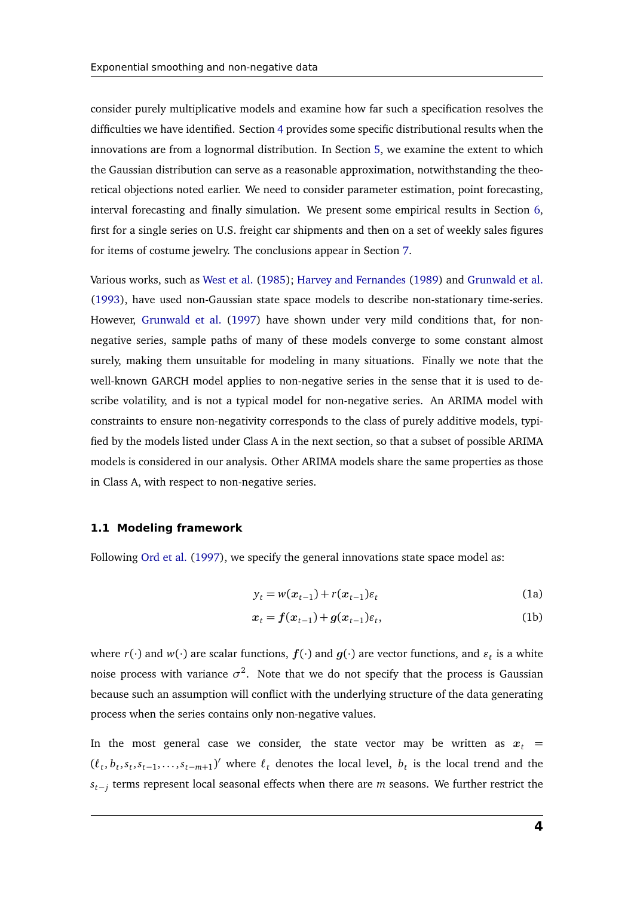consider purely multiplicative models and examine how far such a specification resolves the difficulties we have identified. Section [4](#page-12-0) provides some specific distributional results when the innovations are from a lognormal distribution. In Section [5,](#page-15-0) we examine the extent to which the Gaussian distribution can serve as a reasonable approximation, notwithstanding the theoretical objections noted earlier. We need to consider parameter estimation, point forecasting, interval forecasting and finally simulation. We present some empirical results in Section [6,](#page-18-0) first for a single series on U.S. freight car shipments and then on a set of weekly sales figures for items of costume jewelry. The conclusions appear in Section [7.](#page-23-0)

Various works, such as [West et al.](#page-24-2) [\(1985\)](#page-24-2); [Harvey and Fernandes](#page-24-3) [\(1989\)](#page-24-3) and [Grunwald et al.](#page-24-4) [\(1993\)](#page-24-4), have used non-Gaussian state space models to describe non-stationary time-series. However, [Grunwald et al.](#page-24-5) [\(1997\)](#page-24-5) have shown under very mild conditions that, for nonnegative series, sample paths of many of these models converge to some constant almost surely, making them unsuitable for modeling in many situations. Finally we note that the well-known GARCH model applies to non-negative series in the sense that it is used to describe volatility, and is not a typical model for non-negative series. An ARIMA model with constraints to ensure non-negativity corresponds to the class of purely additive models, typified by the models listed under Class A in the next section, so that a subset of possible ARIMA models is considered in our analysis. Other ARIMA models share the same properties as those in Class A, with respect to non-negative series.

#### <span id="page-4-0"></span>**1.1 Modeling framework**

Following [Ord et al.](#page-24-6) [\(1997\)](#page-24-6), we specify the general innovations state space model as:

<span id="page-4-2"></span><span id="page-4-1"></span>
$$
y_t = w(x_{t-1}) + r(x_{t-1})\varepsilon_t
$$
 (1a)

$$
x_t = f(x_{t-1}) + g(x_{t-1})\varepsilon_t, \tag{1b}
$$

where  $r(\cdot)$  and  $w(\cdot)$  are scalar functions,  $f(\cdot)$  and  $g(\cdot)$  are vector functions, and  $\varepsilon_t$  is a white noise process with variance  $\sigma^2$ . Note that we do not specify that the process is Gaussian because such an assumption will conflict with the underlying structure of the data generating process when the series contains only non-negative values.

In the most general case we consider, the state vector may be written as  $x_t =$  $(\ell_t, b_t, s_t, s_{t-1}, \ldots, s_{t-m+1})'$  where  $\ell_t$  denotes the local level,  $b_t$  is the local trend and the *st*−*<sup>j</sup>* terms represent local seasonal effects when there are *m* seasons. We further restrict the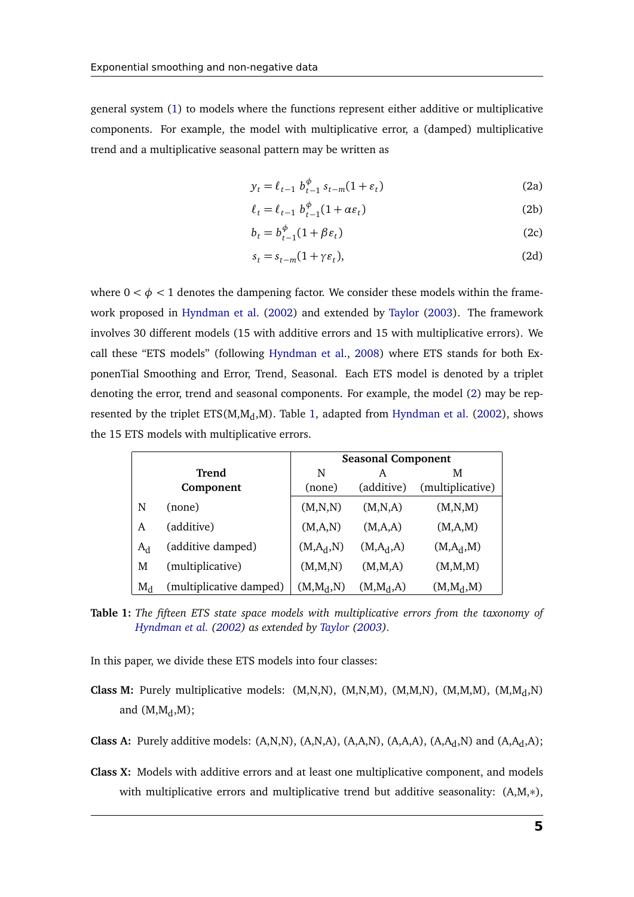general system [\(1\)](#page-4-1) to models where the functions represent either additive or multiplicative components. For example, the model with multiplicative error, a (damped) multiplicative trend and a multiplicative seasonal pattern may be written as

$$
y_t = \ell_{t-1} b_{t-1}^{\phi} s_{t-m} (1 + \varepsilon_t)
$$
 (2a)

$$
\ell_t = \ell_{t-1} b_{t-1}^{\phi} (1 + \alpha \varepsilon_t)
$$
 (2b)

$$
b_t = b_{t-1}^{\phi}(1 + \beta \varepsilon_t)
$$
 (2c)

$$
s_t = s_{t-m}(1 + \gamma \varepsilon_t),\tag{2d}
$$

where  $0 < \phi < 1$  denotes the dampening factor. We consider these models within the framework proposed in [Hyndman et al.](#page-24-1) [\(2002\)](#page-24-1) and extended by [Taylor](#page-24-7) [\(2003\)](#page-24-7). The framework involves 30 different models (15 with additive errors and 15 with multiplicative errors). We call these "ETS models" (following [Hyndman et al.,](#page-24-8) [2008\)](#page-24-8) where ETS stands for both ExponenTial Smoothing and Error, Trend, Seasonal. Each ETS model is denoted by a triplet denoting the error, trend and seasonal components. For example, the model [\(2\)](#page-4-2) may be represented by the triplet  $ETS(M, M_d, M)$ . Table [1,](#page-5-0) adapted from [Hyndman et al.](#page-24-1) [\(2002\)](#page-24-1), shows the 15 ETS models with multiplicative errors.

<span id="page-5-0"></span>

|       |                         | <b>Seasonal Component</b> |               |                  |  |  |
|-------|-------------------------|---------------------------|---------------|------------------|--|--|
|       | Trend                   | N                         | A             | M                |  |  |
|       | Component               | (none)                    | (additive)    | (multiplicative) |  |  |
| N     | (none)                  | (M,N,N)                   | (M,N,A)       | (M,N,M)          |  |  |
| A     | (additive)              | (M,A,N)                   | (M,A,A)       | (M,A,M)          |  |  |
| $A_d$ | (additive damped)       | $(M, A_d, N)$             | $(M, A_d, A)$ | $(M, A_d, M)$    |  |  |
| M     | (multiplicative)        | (M, M, N)                 | (M, M, A)     | (M,M,M)          |  |  |
| $M_d$ | (multiplicative damped) | $(M, M_d, N)$             | $(M, M_d, A)$ | $(M, M_d, M)$    |  |  |

**Table 1:** *The fifteen ETS state space models with multiplicative errors from the taxonomy of [Hyndman et al.](#page-24-1) [\(2002\)](#page-24-1) as extended by [Taylor](#page-24-7) [\(2003\)](#page-24-7).*

In this paper, we divide these ETS models into four classes:

- **Class M:** Purely multiplicative models: (M,N,N), (M,N,M), (M,M,N), (M,M,M), (M,M<sub>d</sub>,N) and  $(M, M_d, M)$ ;
- **Class A:** Purely additive models:  $(A,N,N)$ ,  $(A,N,A)$ ,  $(A,A,N)$ ,  $(A,A,A)$ ,  $(A,A,A,N)$  and  $(A,A,A)$ ;
- **Class X:** Models with additive errors and at least one multiplicative component, and models with multiplicative errors and multiplicative trend but additive seasonality:  $(A,M,*)$ ,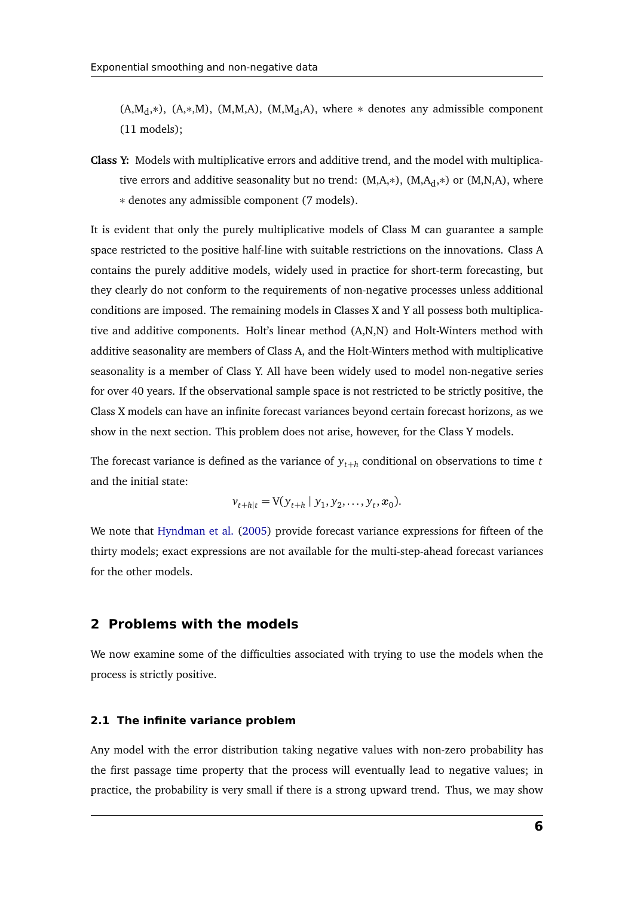$(A,M<sub>d</sub>,*)$ ,  $(A,*,M)$ ,  $(M,M<sub>d</sub>,A)$ ,  $(M,M<sub>d</sub>,A)$ , where  $*$  denotes any admissible component (11 models);

**Class Y:** Models with multiplicative errors and additive trend, and the model with multiplicative errors and additive seasonality but no trend:  $(M,A,*)$ ,  $(M,A<sub>d</sub>,*)$  or  $(M,N,A)$ , where ∗ denotes any admissible component (7 models).

It is evident that only the purely multiplicative models of Class M can guarantee a sample space restricted to the positive half-line with suitable restrictions on the innovations. Class A contains the purely additive models, widely used in practice for short-term forecasting, but they clearly do not conform to the requirements of non-negative processes unless additional conditions are imposed. The remaining models in Classes X and Y all possess both multiplicative and additive components. Holt's linear method (A,N,N) and Holt-Winters method with additive seasonality are members of Class A, and the Holt-Winters method with multiplicative seasonality is a member of Class Y. All have been widely used to model non-negative series for over 40 years. If the observational sample space is not restricted to be strictly positive, the Class X models can have an infinite forecast variances beyond certain forecast horizons, as we show in the next section. This problem does not arise, however, for the Class Y models.

The forecast variance is defined as the variance of *yt*+*<sup>h</sup>* conditional on observations to time *t* and the initial state:

$$
v_{t+h|t} = V(y_{t+h} | y_1, y_2, \ldots, y_t, x_0).
$$

We note that [Hyndman et al.](#page-24-9) [\(2005\)](#page-24-9) provide forecast variance expressions for fifteen of the thirty models; exact expressions are not available for the multi-step-ahead forecast variances for the other models.

### <span id="page-6-0"></span>**2 Problems with the models**

We now examine some of the difficulties associated with trying to use the models when the process is strictly positive.

#### **2.1 The infinite variance problem**

Any model with the error distribution taking negative values with non-zero probability has the first passage time property that the process will eventually lead to negative values; in practice, the probability is very small if there is a strong upward trend. Thus, we may show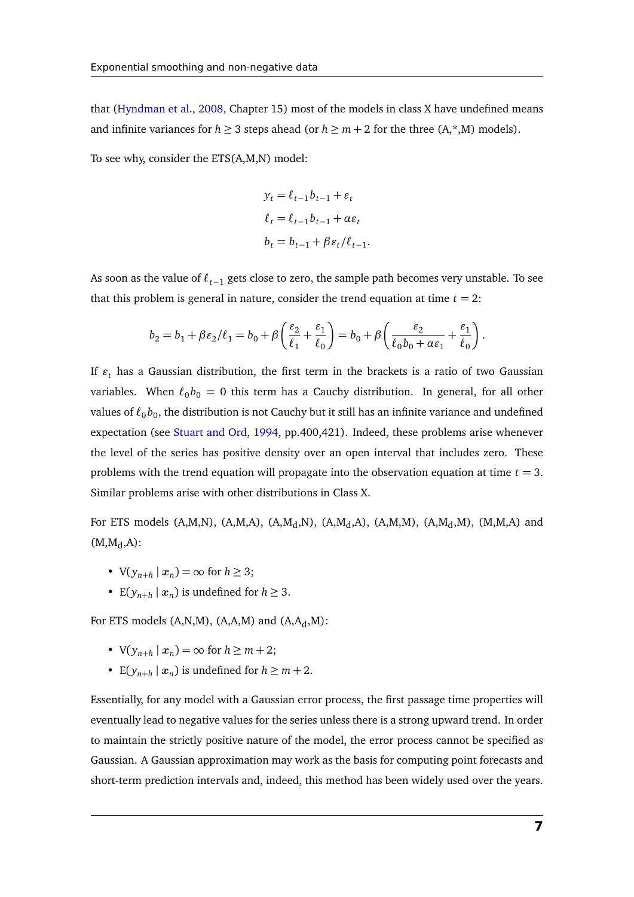that [\(Hyndman et al.,](#page-24-8) [2008,](#page-24-8) Chapter 15) most of the models in class X have undefined means and infinite variances for  $h \geq 3$  steps ahead (or  $h \geq m + 2$  for the three  $(A,*,M)$  models).

To see why, consider the ETS(A,M,N) model:

$$
y_t = \ell_{t-1}b_{t-1} + \varepsilon_t
$$
  
\n
$$
\ell_t = \ell_{t-1}b_{t-1} + \alpha \varepsilon_t
$$
  
\n
$$
b_t = b_{t-1} + \beta \varepsilon_t/\ell_{t-1}.
$$

As soon as the value of *`t*−<sup>1</sup> gets close to zero, the sample path becomes very unstable. To see that this problem is general in nature, consider the trend equation at time  $t = 2$ :

$$
b_2 = b_1 + \beta \varepsilon_2/\ell_1 = b_0 + \beta \left(\frac{\varepsilon_2}{\ell_1} + \frac{\varepsilon_1}{\ell_0}\right) = b_0 + \beta \left(\frac{\varepsilon_2}{\ell_0 b_0 + \alpha \varepsilon_1} + \frac{\varepsilon_1}{\ell_0}\right).
$$

If  $\varepsilon$ <sub>t</sub> has a Gaussian distribution, the first term in the brackets is a ratio of two Gaussian variables. When  $\ell_0 b_0 = 0$  this term has a Cauchy distribution. In general, for all other values of  $\ell_0 b_0$ , the distribution is not Cauchy but it still has an infinite variance and undefined expectation (see [Stuart and Ord,](#page-24-10) [1994,](#page-24-10) pp.400,421). Indeed, these problems arise whenever the level of the series has positive density over an open interval that includes zero. These problems with the trend equation will propagate into the observation equation at time  $t = 3$ . Similar problems arise with other distributions in Class X.

For ETS models  $(A,M,N)$ ,  $(A,M,A)$ ,  $(A,M_d,N)$ ,  $(A,M_d,A)$ ,  $(A,M,M)$ ,  $(A,M,A)$  and  $(M, M<sub>d</sub>, A)$ :

- $V(y_{n+h} | x_n) = \infty$  for  $h \ge 3$ ;
- E( $y_{n+h} | x_n$ ) is undefined for  $h \geq 3$ .

For ETS models  $(A, N, M)$ ,  $(A, A, M)$  and  $(A, A<sub>d</sub>, M)$ :

- $V(y_{n+h} | x_n) = \infty$  for  $h \ge m + 2$ ;
- E( $y_{n+h} | x_n$ ) is undefined for  $h \ge m+2$ .

Essentially, for any model with a Gaussian error process, the first passage time properties will eventually lead to negative values for the series unless there is a strong upward trend. In order to maintain the strictly positive nature of the model, the error process cannot be specified as Gaussian. A Gaussian approximation may work as the basis for computing point forecasts and short-term prediction intervals and, indeed, this method has been widely used over the years.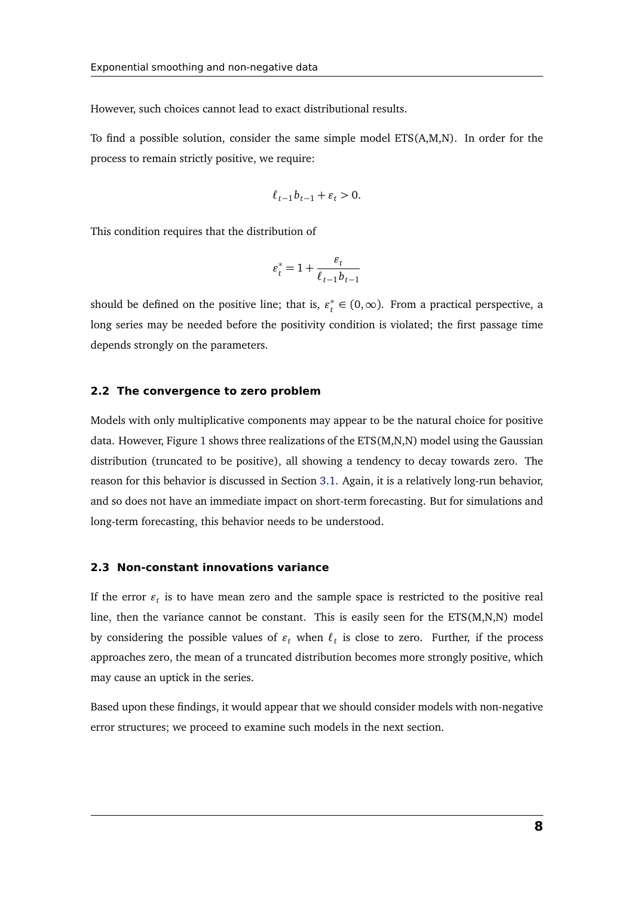However, such choices cannot lead to exact distributional results.

To find a possible solution, consider the same simple model ETS(A,M,N). In order for the process to remain strictly positive, we require:

$$
\ell_{t-1}b_{t-1} + \varepsilon_t > 0.
$$

This condition requires that the distribution of

$$
\varepsilon_t^* = 1 + \frac{\varepsilon_t}{\ell_{t-1} b_{t-1}}
$$

should be defined on the positive line; that is,  $\varepsilon_t^*$  $t<sub>t</sub><sup>*</sup> ∈ (0, ∞)$ . From a practical perspective, a long series may be needed before the positivity condition is violated; the first passage time depends strongly on the parameters.

#### **2.2 The convergence to zero problem**

Models with only multiplicative components may appear to be the natural choice for positive data. However, Figure [1](#page-9-1) shows three realizations of the ETS(M,N,N) model using the Gaussian distribution (truncated to be positive), all showing a tendency to decay towards zero. The reason for this behavior is discussed in Section [3.1.](#page-10-0) Again, it is a relatively long-run behavior, and so does not have an immediate impact on short-term forecasting. But for simulations and long-term forecasting, this behavior needs to be understood.

#### **2.3 Non-constant innovations variance**

If the error  $\varepsilon_t$  is to have mean zero and the sample space is restricted to the positive real line, then the variance cannot be constant. This is easily seen for the ETS(M,N,N) model by considering the possible values of  $\varepsilon_t$  when  $\ell_t$  is close to zero. Further, if the process approaches zero, the mean of a truncated distribution becomes more strongly positive, which may cause an uptick in the series.

Based upon these findings, it would appear that we should consider models with non-negative error structures; we proceed to examine such models in the next section.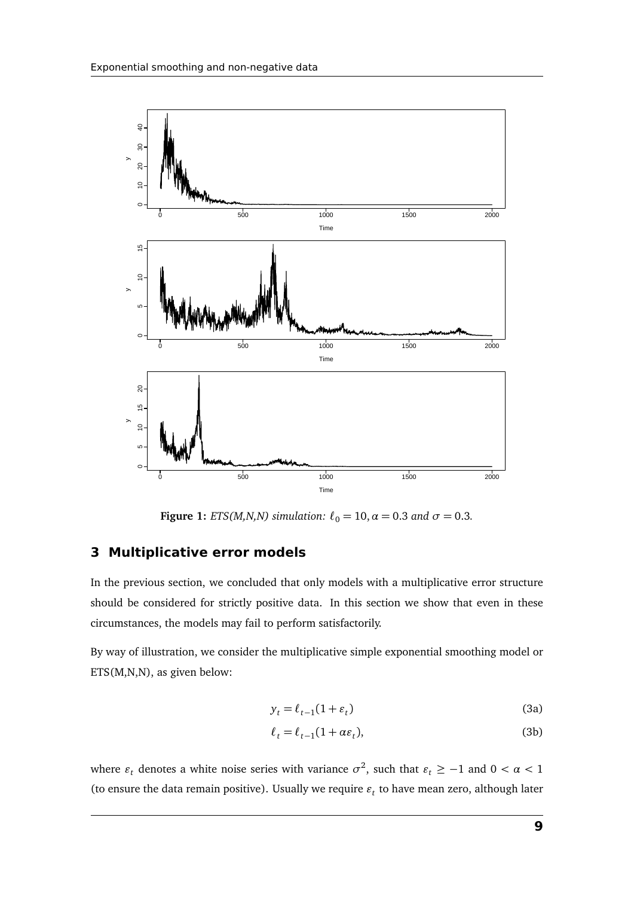<span id="page-9-1"></span>

**Figure 1:** *ETS(M,N,N)* simulation:  $\ell_0 = 10$ ,  $\alpha = 0.3$  *and*  $\sigma = 0.3$ *.* 

### <span id="page-9-0"></span>**3 Multiplicative error models**

In the previous section, we concluded that only models with a multiplicative error structure should be considered for strictly positive data. In this section we show that even in these circumstances, the models may fail to perform satisfactorily.

By way of illustration, we consider the multiplicative simple exponential smoothing model or ETS(M,N,N), as given below:

<span id="page-9-2"></span>
$$
y_t = \ell_{t-1}(1 + \varepsilon_t) \tag{3a}
$$

$$
\ell_t = \ell_{t-1}(1 + \alpha \varepsilon_t),\tag{3b}
$$

where  $\varepsilon_t$  denotes a white noise series with variance  $\sigma^2$ , such that  $\varepsilon_t \geq -1$  and  $0 < \alpha < 1$ (to ensure the data remain positive). Usually we require  $\varepsilon_t$  to have mean zero, although later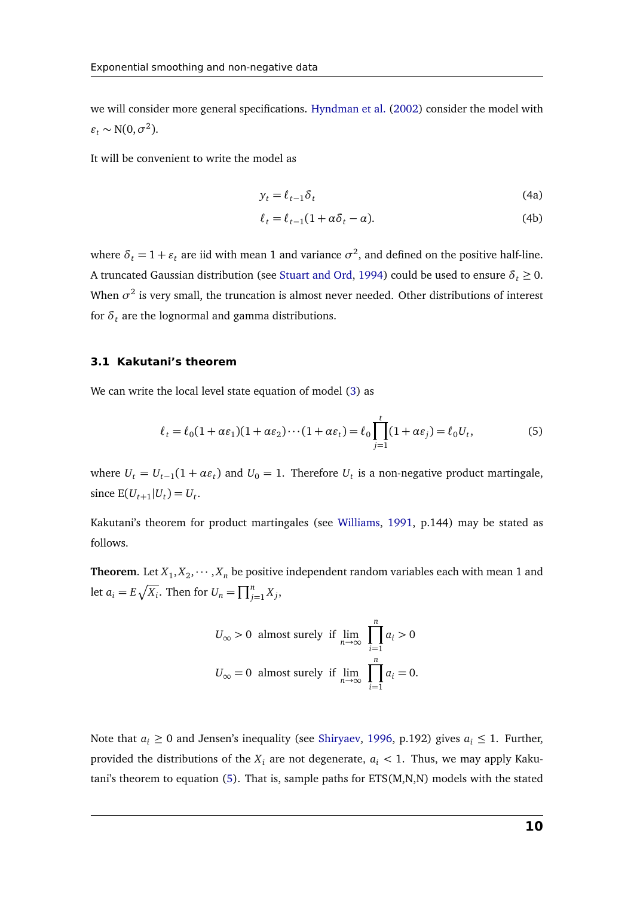we will consider more general specifications. [Hyndman et al.](#page-24-1) [\(2002\)](#page-24-1) consider the model with  $\varepsilon_t \sim N(0, \sigma^2)$ .

It will be convenient to write the model as

$$
y_t = \ell_{t-1} \delta_t \tag{4a}
$$

<span id="page-10-1"></span>
$$
\ell_t = \ell_{t-1}(1 + \alpha \delta_t - \alpha). \tag{4b}
$$

where  $\delta_t = 1 + \varepsilon_t$  are iid with mean 1 and variance  $\sigma^2$ , and defined on the positive half-line. A truncated Gaussian distribution (see [Stuart and Ord,](#page-24-10) [1994\)](#page-24-10) could be used to ensure  $\delta_t \geq 0$ . When  $\sigma^2$  is very small, the truncation is almost never needed. Other distributions of interest for  $\delta_t$  are the lognormal and gamma distributions.

#### <span id="page-10-0"></span>**3.1 Kakutani's theorem**

We can write the local level state equation of model [\(3\)](#page-9-2) as

$$
\ell_t = \ell_0 (1 + \alpha \varepsilon_1)(1 + \alpha \varepsilon_2) \cdots (1 + \alpha \varepsilon_t) = \ell_0 \prod_{j=1}^t (1 + \alpha \varepsilon_j) = \ell_0 U_t,
$$
\n(5)

where  $U_t = U_{t-1}(1 + \alpha \varepsilon_t)$  and  $U_0 = 1$ . Therefore  $U_t$  is a non-negative product martingale, since  $E(U_{t+1} | U_t) = U_t$ .

Kakutani's theorem for product martingales (see [Williams,](#page-24-11) [1991,](#page-24-11) p.144) may be stated as follows.

**Theorem.** Let  $X_1, X_2, \dots, X_n$  be positive independent random variables each with mean 1 and let  $a_i = E\sqrt{X_i}$ . Then for  $U_n = \prod_{j=1}^n X_j$ ,

$$
U_{\infty} > 0 \text{ almost surely if } \lim_{n \to \infty} \prod_{i=1}^{n} a_i > 0
$$
  

$$
U_{\infty} = 0 \text{ almost surely if } \lim_{n \to \infty} \prod_{i=1}^{n} a_i = 0.
$$

Note that  $a_i \geq 0$  and Jensen's inequality (see [Shiryaev,](#page-24-12) [1996,](#page-24-12) p.192) gives  $a_i \leq 1$ . Further, provided the distributions of the  $X_i$  are not degenerate,  $a_i < 1$ . Thus, we may apply Kakutani's theorem to equation [\(5\)](#page-10-1). That is, sample paths for ETS(M,N,N) models with the stated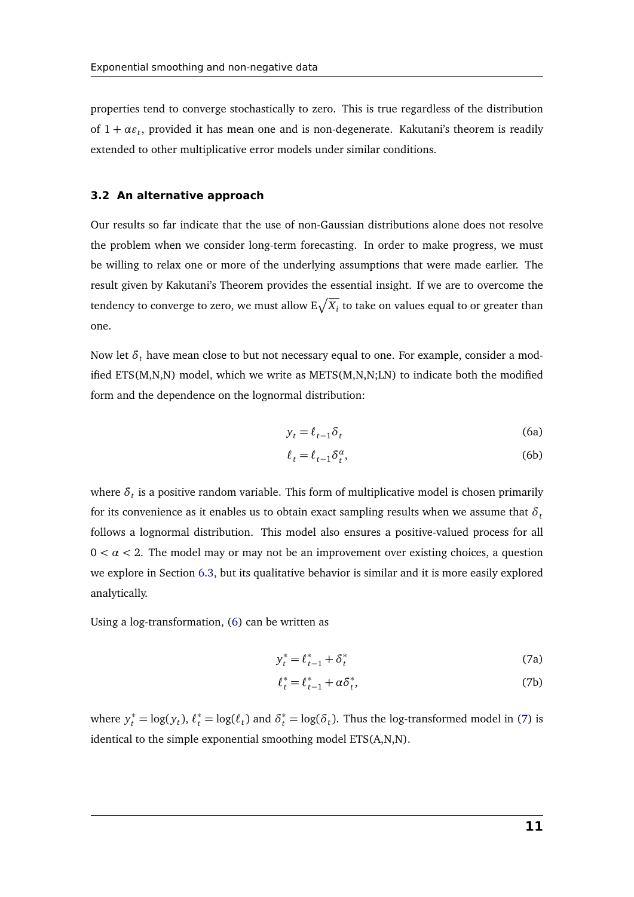properties tend to converge stochastically to zero. This is true regardless of the distribution of  $1 + \alpha \varepsilon_t$ , provided it has mean one and is non-degenerate. Kakutani's theorem is readily extended to other multiplicative error models under similar conditions.

#### **3.2 An alternative approach**

Our results so far indicate that the use of non-Gaussian distributions alone does not resolve the problem when we consider long-term forecasting. In order to make progress, we must be willing to relax one or more of the underlying assumptions that were made earlier. The result given by Kakutani's Theorem provides the essential insight. If we are to overcome the tendency to converge to zero, we must allow  $\mathrm{E}\sqrt{X_i}$  to take on values equal to or greater than one.

Now let *δ<sup>t</sup>* have mean close to but not necessary equal to one. For example, consider a modified ETS(M,N,N) model, which we write as METS(M,N,N;LN) to indicate both the modified form and the dependence on the lognormal distribution:

<span id="page-11-0"></span>
$$
y_t = \ell_{t-1} \delta_t \tag{6a}
$$

$$
\ell_t = \ell_{t-1} \delta_t^{\alpha},\tag{6b}
$$

where  $\delta_t$  is a positive random variable. This form of multiplicative model is chosen primarily for its convenience as it enables us to obtain exact sampling results when we assume that  $\delta_t$ follows a lognormal distribution. This model also ensures a positive-valued process for all  $0 < \alpha < 2$ . The model may or may not be an improvement over existing choices, a question we explore in Section [6.3,](#page-20-0) but its qualitative behavior is similar and it is more easily explored analytically.

Using a log-transformation, [\(6\)](#page-11-0) can be written as

<span id="page-11-1"></span>
$$
y_t^* = \ell_{t-1}^* + \delta_t^* \tag{7a}
$$

$$
\ell_t^* = \ell_{t-1}^* + \alpha \delta_t^*,\tag{7b}
$$

where  $y_t^* = \log(y_t)$ ,  $\ell_t^* = \log(\ell_t)$  and  $\delta_t^* = \log(\delta_t)$ . Thus the log-transformed model in [\(7\)](#page-11-1) is identical to the simple exponential smoothing model ETS(A,N,N).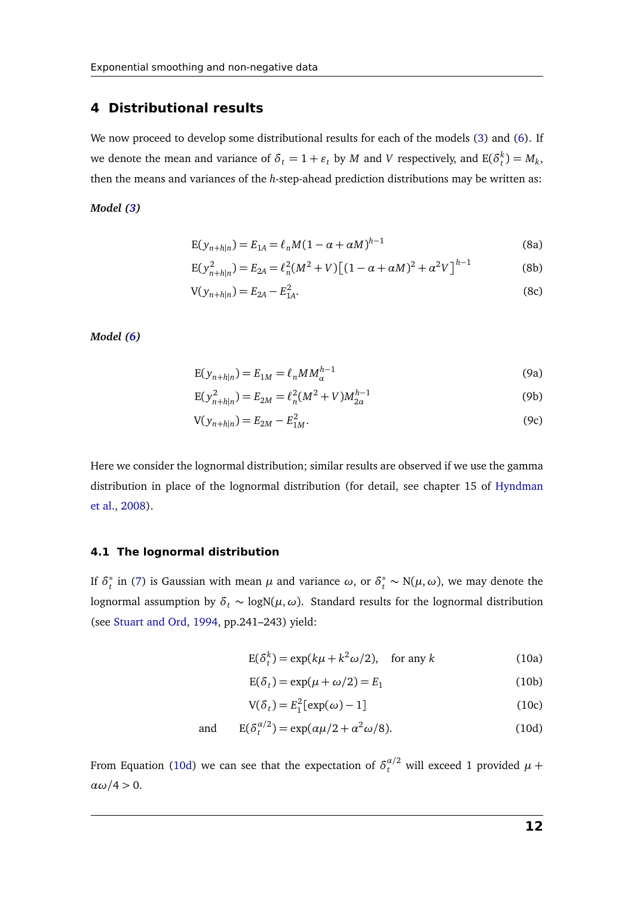#### <span id="page-12-0"></span>**4 Distributional results**

We now proceed to develop some distributional results for each of the models [\(3\)](#page-9-2) and [\(6\)](#page-11-0). If we denote the mean and variance of  $\delta_t = 1 + \varepsilon_t$  by *M* and *V* respectively, and  $E(\delta_t^k) = M_k$ , then the means and variances of the *h*-step-ahead prediction distributions may be written as:

#### <span id="page-12-2"></span>*Model [\(3\)](#page-9-2)*

$$
E(y_{n+h|n}) = E_{1A} = \ell_n M (1 - \alpha + \alpha M)^{h-1}
$$
 (8a)

$$
E(y_{n+h|n}^2) = E_{2A} = \ell_n^2 (M^2 + V) \left[ (1 - \alpha + \alpha M)^2 + \alpha^2 V \right]^{h-1}
$$
 (8b)

$$
V(y_{n+h|n}) = E_{2A} - E_{1A}^2.
$$
 (8c)

*Model [\(6\)](#page-11-0)*

$$
E(y_{n+h|n}) = E_{1M} = \ell_n M M_{\alpha}^{h-1}
$$
\n(9a)

$$
E(y_{n+h|n}^2) = E_{2M} = \ell_n^2 (M^2 + V) M_{2\alpha}^{h-1}
$$
 (9b)

$$
V(y_{n+h|n}) = E_{2M} - E_{1M}^2.
$$
\n(9c)

Here we consider the lognormal distribution; similar results are observed if we use the gamma distribution in place of the lognormal distribution (for detail, see chapter 15 of [Hyndman](#page-24-8) [et al.,](#page-24-8) [2008\)](#page-24-8).

#### **4.1 The lognormal distribution**

If  $\delta_t^*$ *t*<sub>*t*</sub> in [\(7\)](#page-11-1) is Gaussian with mean *μ* and variance *ω*, or  $δ_t^*$  ∼ N(*μ*, *ω*), we may denote the lognormal assumption by *δ<sup>t</sup>* ∼ logN(*µ*,*ω*). Standard results for the lognormal distribution (see [Stuart and Ord,](#page-24-10) [1994,](#page-24-10) pp.241–243) yield:

<span id="page-12-3"></span>
$$
E(\delta_t^k) = \exp(k\mu + k^2\omega/2), \quad \text{for any } k \tag{10a}
$$

<span id="page-12-1"></span>
$$
E(\delta_t) = \exp(\mu + \omega/2) = E_1
$$
 (10b)

$$
V(\delta_t) = E_1^2[\exp(\omega) - 1] \tag{10c}
$$

and 
$$
E(\delta_t^{\alpha/2}) = \exp(\alpha\mu/2 + \alpha^2\omega/8).
$$
 (10d)

From Equation [\(10d\)](#page-12-1) we can see that the expectation of  $\delta_t^{\alpha/2}$  will exceed 1 provided  $\mu$  +  $\alpha$ ω/4 > 0.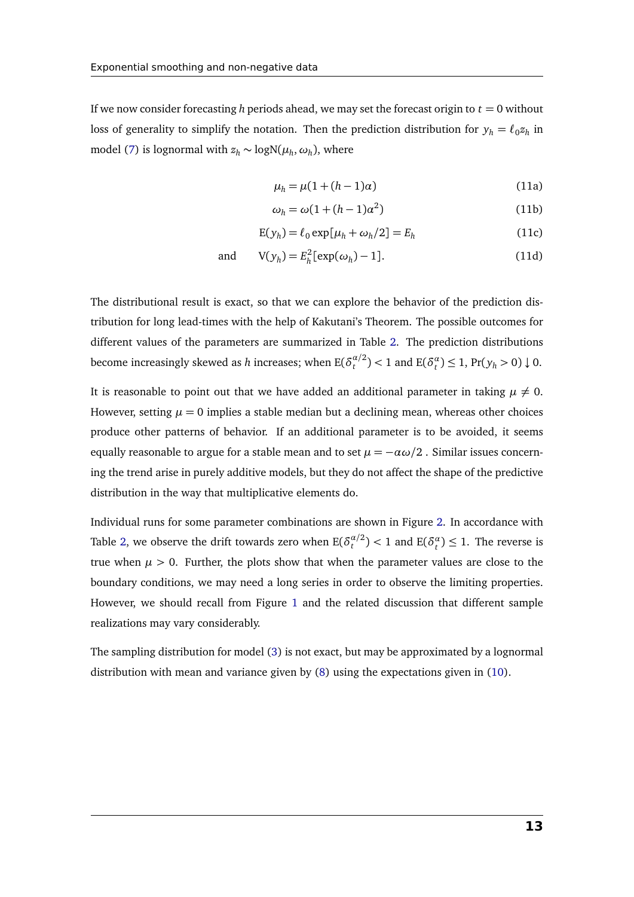If we now consider forecasting *h* periods ahead, we may set the forecast origin to  $t = 0$  without loss of generality to simplify the notation. Then the prediction distribution for  $y_h = \ell_0 z_h$  in model [\(7\)](#page-11-1) is lognormal with  $z_h \sim \text{logN}(\mu_h, \omega_h)$ , where

<span id="page-13-0"></span>
$$
\mu_h = \mu(1 + (h - 1)\alpha) \tag{11a}
$$

$$
\omega_h = \omega(1 + (h - 1)\alpha^2) \tag{11b}
$$

$$
E(y_h) = \ell_0 \exp[\mu_h + \omega_h/2] = E_h \tag{11c}
$$

and 
$$
V(y_h) = E_h^2[\exp(\omega_h) - 1].
$$
 (11d)

The distributional result is exact, so that we can explore the behavior of the prediction distribution for long lead-times with the help of Kakutani's Theorem. The possible outcomes for different values of the parameters are summarized in Table [2.](#page-14-0) The prediction distributions become increasingly skewed as  $h$  increases; when  $E(\delta_t^{\alpha/2})$  $t^{a/2}$   $> 1$  and  $E(\delta_t^a) \le 1$ ,  $Pr(y_h > 0) \downarrow 0$ .

It is reasonable to point out that we have added an additional parameter in taking  $\mu \neq 0$ . However, setting  $\mu = 0$  implies a stable median but a declining mean, whereas other choices produce other patterns of behavior. If an additional parameter is to be avoided, it seems equally reasonable to argue for a stable mean and to set  $\mu = -\alpha \omega/2$ . Similar issues concerning the trend arise in purely additive models, but they do not affect the shape of the predictive distribution in the way that multiplicative elements do.

Individual runs for some parameter combinations are shown in Figure [2.](#page-14-1) In accordance with Table [2,](#page-14-0) we observe the drift towards zero when  $E(\delta_t^{\alpha/2})$  $t_t^{\alpha/2}$ ) < 1 and  $E(\delta_t^{\alpha}) \leq 1$ . The reverse is true when  $\mu > 0$ . Further, the plots show that when the parameter values are close to the boundary conditions, we may need a long series in order to observe the limiting properties. However, we should recall from Figure [1](#page-9-1) and the related discussion that different sample realizations may vary considerably.

The sampling distribution for model [\(3\)](#page-9-2) is not exact, but may be approximated by a lognormal distribution with mean and variance given by [\(8\)](#page-12-2) using the expectations given in [\(10\)](#page-12-3).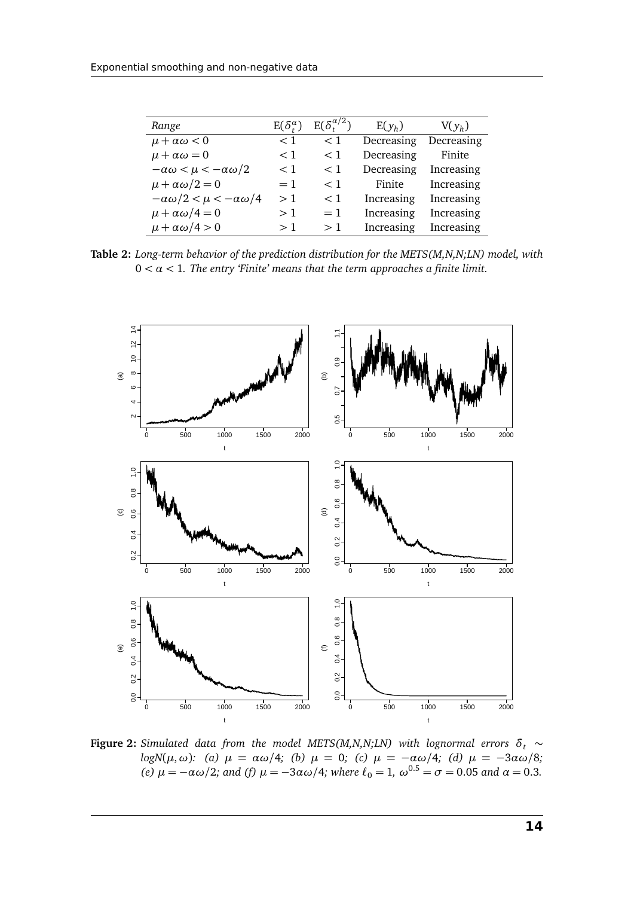<span id="page-14-0"></span>

| Range                                     | $E(\delta_{t}^{\alpha})$ | $E(\delta_t^{\alpha/2})$ | $E(y_h)$   | $V(y_h)$   |
|-------------------------------------------|--------------------------|--------------------------|------------|------------|
| $\mu + \alpha \omega < 0$                 | $<$ 1                    | $<$ 1                    | Decreasing | Decreasing |
| $\mu + \alpha \omega = 0$                 | $<$ 1                    | $<$ 1                    | Decreasing | Finite     |
| $-\alpha\omega < \mu < -\alpha\omega/2$   | $<$ 1                    | $<$ 1                    | Decreasing | Increasing |
| $\mu + \alpha \omega/2 = 0$               | $=1$                     | $<$ 1                    | Finite     | Increasing |
| $-\alpha\omega/2 < \mu < -\alpha\omega/4$ | >1                       | $<$ 1                    | Increasing | Increasing |
| $\mu + \alpha \omega/4 = 0$               | >1                       | $=1$                     | Increasing | Increasing |
| $\mu + \alpha \omega/4 > 0$               | >1                       | >1                       | Increasing | Increasing |

**Table 2:** *Long-term behavior of the prediction distribution for the METS(M,N,N;LN) model, with*  $0 < \alpha < 1$ . The entry 'Finite' means that the term approaches a finite limit.

<span id="page-14-1"></span>

**Figure 2:** *Simulated data from the model METS(M,N,N;LN) with lognormal errors*  $\delta_t \sim$ *logN*(*µ*,*ω*)*: (a) µ* = *αω/*4*; (b) µ* = 0*; (c) µ* = −*αω/*4*; (d) µ* = −3*αω/*8*; (e)*  $\mu = -\alpha \omega/2$ *;* and *(f)*  $\mu = -3\alpha \omega/4$ *;* where  $\ell_0 = 1$ ,  $\omega^{0.5} = \sigma = 0.05$  and  $\alpha = 0.3$ *.*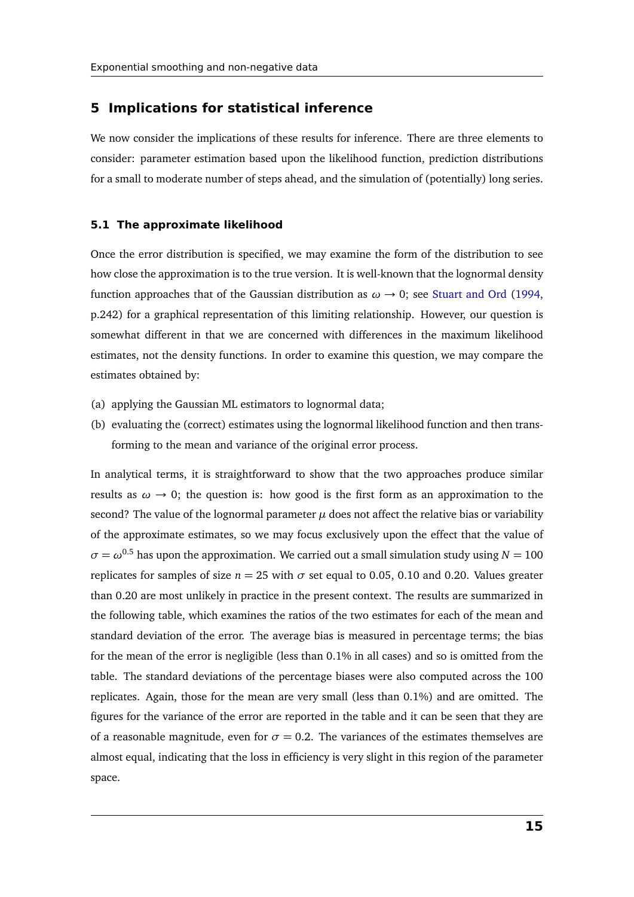#### <span id="page-15-0"></span>**5 Implications for statistical inference**

We now consider the implications of these results for inference. There are three elements to consider: parameter estimation based upon the likelihood function, prediction distributions for a small to moderate number of steps ahead, and the simulation of (potentially) long series.

#### **5.1 The approximate likelihood**

Once the error distribution is specified, we may examine the form of the distribution to see how close the approximation is to the true version. It is well-known that the lognormal density function approaches that of the Gaussian distribution as  $\omega \rightarrow 0$ ; see [Stuart and Ord](#page-24-10) [\(1994,](#page-24-10) p.242) for a graphical representation of this limiting relationship. However, our question is somewhat different in that we are concerned with differences in the maximum likelihood estimates, not the density functions. In order to examine this question, we may compare the estimates obtained by:

- (a) applying the Gaussian ML estimators to lognormal data;
- (b) evaluating the (correct) estimates using the lognormal likelihood function and then transforming to the mean and variance of the original error process.

In analytical terms, it is straightforward to show that the two approaches produce similar results as  $\omega \rightarrow 0$ ; the question is: how good is the first form as an approximation to the second? The value of the lognormal parameter  $\mu$  does not affect the relative bias or variability of the approximate estimates, so we may focus exclusively upon the effect that the value of  $\sigma = \omega^{0.5}$  has upon the approximation. We carried out a small simulation study using *N* = 100 replicates for samples of size  $n = 25$  with  $\sigma$  set equal to 0.05, 0.10 and 0.20. Values greater than 0.20 are most unlikely in practice in the present context. The results are summarized in the following table, which examines the ratios of the two estimates for each of the mean and standard deviation of the error. The average bias is measured in percentage terms; the bias for the mean of the error is negligible (less than 0.1% in all cases) and so is omitted from the table. The standard deviations of the percentage biases were also computed across the 100 replicates. Again, those for the mean are very small (less than 0.1%) and are omitted. The figures for the variance of the error are reported in the table and it can be seen that they are of a reasonable magnitude, even for  $\sigma = 0.2$ . The variances of the estimates themselves are almost equal, indicating that the loss in efficiency is very slight in this region of the parameter space.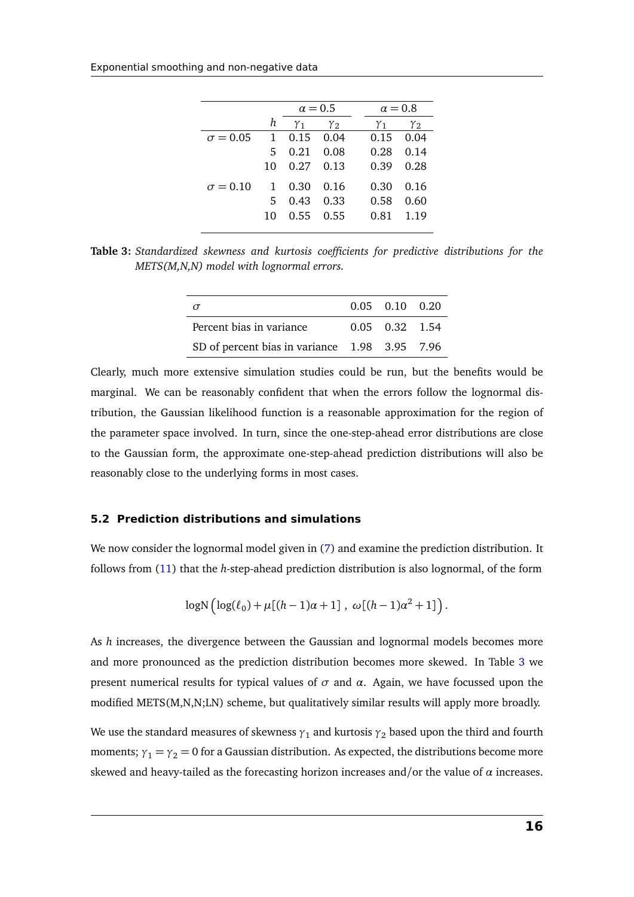<span id="page-16-0"></span>

|                 |              | $\alpha = 0.5$           |                   |  | $\alpha = 0.8$ |            |  |
|-----------------|--------------|--------------------------|-------------------|--|----------------|------------|--|
|                 | h            | $\gamma_1$<br>$\gamma_2$ |                   |  | $\gamma_{1}$   | $\gamma_2$ |  |
| $\sigma = 0.05$ | 1            |                          | $0.15 \quad 0.04$ |  | 0.15           | 0.04       |  |
|                 | 5            | 0.21                     | 0.08              |  | 0.28           | 0.14       |  |
|                 | 10           | 0.27                     | 0.13              |  | 0.39           | 0.28       |  |
| $\sigma = 0.10$ | $\mathbf{1}$ | 0.30                     | 0.16              |  | 0.30           | 0.16       |  |
|                 | 5.           | 0.43                     | 0.33              |  | 0.58           | 0.60       |  |
|                 | 10           | $0.55$ 0.55              |                   |  | 0.81           | 1.19       |  |
|                 |              |                          |                   |  |                |            |  |

**Table 3:** *Standardized skewness and kurtosis coefficients for predictive distributions for the METS(M,N,N) model with lognormal errors.*

| $\sigma$                                      | $0.05$ $0.10$ $0.20$ |  |
|-----------------------------------------------|----------------------|--|
| Percent bias in variance                      | $0.05$ $0.32$ $1.54$ |  |
| SD of percent bias in variance 1.98 3.95 7.96 |                      |  |

Clearly, much more extensive simulation studies could be run, but the benefits would be marginal. We can be reasonably confident that when the errors follow the lognormal distribution, the Gaussian likelihood function is a reasonable approximation for the region of the parameter space involved. In turn, since the one-step-ahead error distributions are close to the Gaussian form, the approximate one-step-ahead prediction distributions will also be reasonably close to the underlying forms in most cases.

#### **5.2 Prediction distributions and simulations**

We now consider the lognormal model given in [\(7\)](#page-11-1) and examine the prediction distribution. It follows from [\(11\)](#page-13-0) that the *h*-step-ahead prediction distribution is also lognormal, of the form

$$
\log N \left( \log(\ell_0) + \mu[(h-1)\alpha + 1] \right), \ \omega[(h-1)\alpha^2 + 1] \right).
$$

As *h* increases, the divergence between the Gaussian and lognormal models becomes more and more pronounced as the prediction distribution becomes more skewed. In Table [3](#page-16-0) we present numerical results for typical values of  $\sigma$  and  $\alpha$ . Again, we have focussed upon the modified METS(M,N,N;LN) scheme, but qualitatively similar results will apply more broadly.

We use the standard measures of skewness  $\gamma_1$  and kurtosis  $\gamma_2$  based upon the third and fourth moments;  $\gamma_1 = \gamma_2 = 0$  for a Gaussian distribution. As expected, the distributions become more skewed and heavy-tailed as the forecasting horizon increases and/or the value of *α* increases.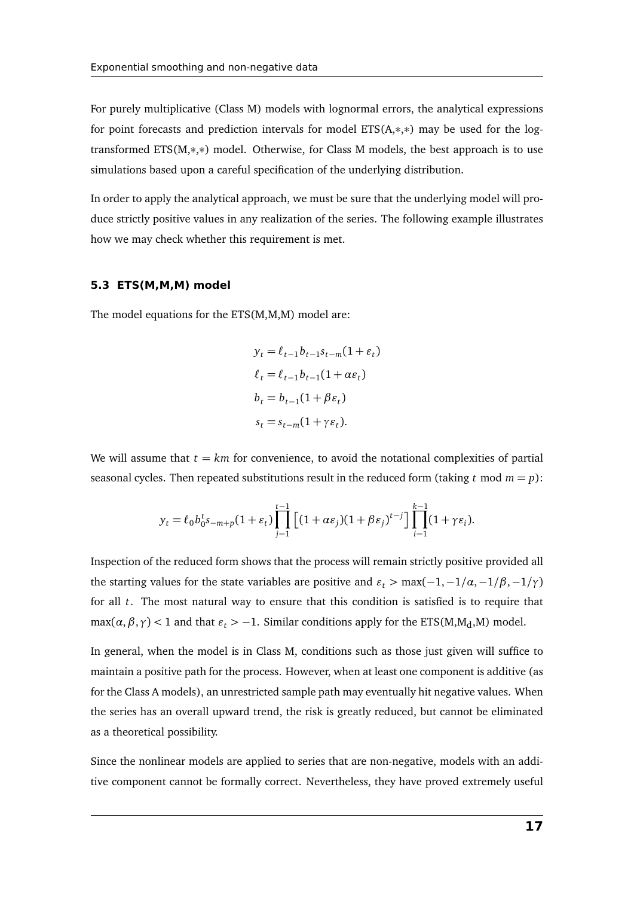For purely multiplicative (Class M) models with lognormal errors, the analytical expressions for point forecasts and prediction intervals for model ETS(A,∗,∗) may be used for the logtransformed ETS(M,∗,∗) model. Otherwise, for Class M models, the best approach is to use simulations based upon a careful specification of the underlying distribution.

In order to apply the analytical approach, we must be sure that the underlying model will produce strictly positive values in any realization of the series. The following example illustrates how we may check whether this requirement is met.

#### **5.3 ETS(M,M,M) model**

The model equations for the ETS(M,M,M) model are:

$$
y_t = \ell_{t-1} b_{t-1} s_{t-m} (1 + \varepsilon_t)
$$
  
\n
$$
\ell_t = \ell_{t-1} b_{t-1} (1 + \alpha \varepsilon_t)
$$
  
\n
$$
b_t = b_{t-1} (1 + \beta \varepsilon_t)
$$
  
\n
$$
s_t = s_{t-m} (1 + \gamma \varepsilon_t).
$$

We will assume that  $t = km$  for convenience, to avoid the notational complexities of partial seasonal cycles. Then repeated substitutions result in the reduced form (taking *t* mod  $m = p$ ):

$$
y_t = \ell_0 b_0^t s_{-m+p} (1 + \varepsilon_t) \prod_{j=1}^{t-1} \left[ (1 + \alpha \varepsilon_j)(1 + \beta \varepsilon_j)^{t-j} \right] \prod_{i=1}^{k-1} (1 + \gamma \varepsilon_i).
$$

Inspection of the reduced form shows that the process will remain strictly positive provided all the starting values for the state variables are positive and  $\varepsilon_t > \max(-1, -1/\alpha, -1/\beta, -1/\gamma)$ for all *t*. The most natural way to ensure that this condition is satisfied is to require that max( $\alpha$ , $\beta$ , $\gamma$ ) < 1 and that  $\varepsilon$ <sub>t</sub> > -1. Similar conditions apply for the ETS(M,M<sub>d</sub>,M) model.

In general, when the model is in Class M, conditions such as those just given will suffice to maintain a positive path for the process. However, when at least one component is additive (as for the Class A models), an unrestricted sample path may eventually hit negative values. When the series has an overall upward trend, the risk is greatly reduced, but cannot be eliminated as a theoretical possibility.

Since the nonlinear models are applied to series that are non-negative, models with an additive component cannot be formally correct. Nevertheless, they have proved extremely useful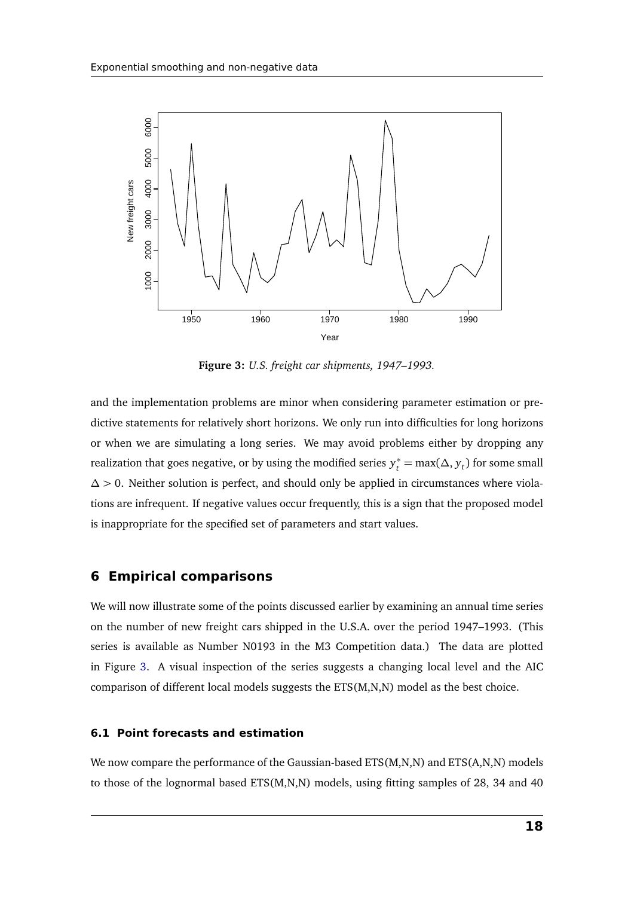<span id="page-18-1"></span>

**Figure 3:** *U.S. freight car shipments, 1947–1993.*

and the implementation problems are minor when considering parameter estimation or predictive statements for relatively short horizons. We only run into difficulties for long horizons or when we are simulating a long series. We may avoid problems either by dropping any realization that goes negative, or by using the modified series  $y_t^* = \max(\Delta, y_t)$  for some small ∆ *>* 0. Neither solution is perfect, and should only be applied in circumstances where violations are infrequent. If negative values occur frequently, this is a sign that the proposed model is inappropriate for the specified set of parameters and start values.

#### <span id="page-18-0"></span>**6 Empirical comparisons**

We will now illustrate some of the points discussed earlier by examining an annual time series on the number of new freight cars shipped in the U.S.A. over the period 1947–1993. (This series is available as Number N0193 in the M3 Competition data.) The data are plotted in Figure [3.](#page-18-1) A visual inspection of the series suggests a changing local level and the AIC comparison of different local models suggests the ETS(M,N,N) model as the best choice.

#### **6.1 Point forecasts and estimation**

We now compare the performance of the Gaussian-based ETS(M,N,N) and ETS(A,N,N) models to those of the lognormal based ETS(M,N,N) models, using fitting samples of 28, 34 and 40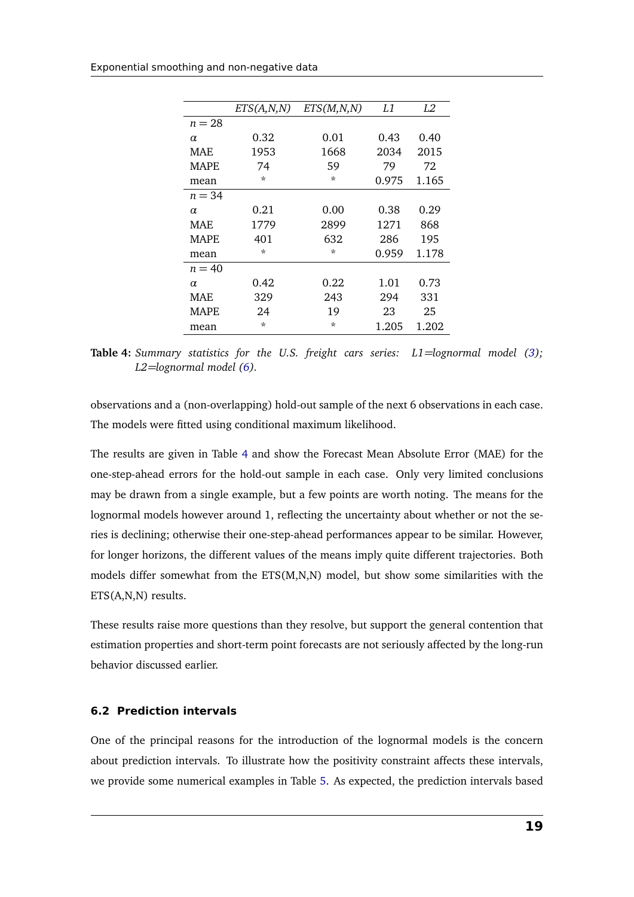<span id="page-19-0"></span>

|             | ETS(A,N,N) | ETS(M, N, N) | L1    | L2    |
|-------------|------------|--------------|-------|-------|
| $n = 28$    |            |              |       |       |
| $\alpha$    | 0.32       | 0.01         | 0.43  | 0.40  |
| MAE         | 1953       | 1668         | 2034  | 2015  |
| MAPE.       | 74         | 59           | 79    | 72    |
| mean        | $\star$    | $\star$      | 0.975 | 1.165 |
| $n = 34$    |            |              |       |       |
| $\alpha$    | 0.21       | 0.00         | 0.38  | 0.29  |
| MAF.        | 1779       | 2899         | 1271  | 868   |
| MAPE.       | 401        | 632          | 286   | 195   |
| mean        | $\star$    | $\star$      | 0.959 | 1.178 |
| $n = 40$    |            |              |       |       |
| $\alpha$    | 0.42       | 0.22         | 1.01  | 0.73  |
| MAE         | 329        | 243          | 294   | 331   |
| <b>MAPE</b> | 24         | 19           | 23    | 25    |
| mean        | $\star$    | $\star$      | 1.205 | 1.202 |

**Table 4:** *Summary statistics for the U.S. freight cars series: L1=lognormal model [\(3\)](#page-9-2); L2=lognormal model [\(6\)](#page-11-0).*

observations and a (non-overlapping) hold-out sample of the next 6 observations in each case. The models were fitted using conditional maximum likelihood.

The results are given in Table [4](#page-19-0) and show the Forecast Mean Absolute Error (MAE) for the one-step-ahead errors for the hold-out sample in each case. Only very limited conclusions may be drawn from a single example, but a few points are worth noting. The means for the lognormal models however around 1, reflecting the uncertainty about whether or not the series is declining; otherwise their one-step-ahead performances appear to be similar. However, for longer horizons, the different values of the means imply quite different trajectories. Both models differ somewhat from the ETS(M,N,N) model, but show some similarities with the ETS(A,N,N) results.

These results raise more questions than they resolve, but support the general contention that estimation properties and short-term point forecasts are not seriously affected by the long-run behavior discussed earlier.

#### **6.2 Prediction intervals**

One of the principal reasons for the introduction of the lognormal models is the concern about prediction intervals. To illustrate how the positivity constraint affects these intervals, we provide some numerical examples in Table [5.](#page-20-1) As expected, the prediction intervals based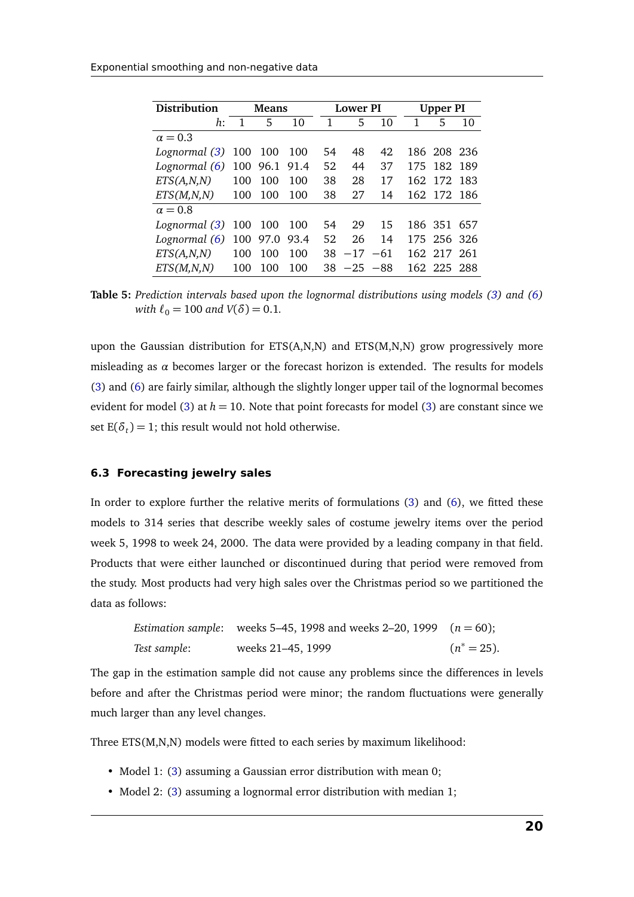<span id="page-20-1"></span>

| Distribution   | <b>Means</b> |          |      | Lower PI |            |    | Upper PI |             |      |
|----------------|--------------|----------|------|----------|------------|----|----------|-------------|------|
| $h$ :          |              | 5        | 10   | 1        | 5          | 10 | 1        | 5           | 10   |
| $\alpha = 0.3$ |              |          |      |          |            |    |          |             |      |
| Lognormal (3)  | 100          | 100      | 100  | 54       | 48         | 42 |          | 186 208 236 |      |
| Lognormal (6)  |              | 100 96.1 | 91.4 | 52       | 44         | 37 |          | 175 182     | -189 |
| ETS(A, N, N)   | 100          | 100      | 100  | 38       | 28         | 17 | 162      | 172 183     |      |
| ETS(M, N, N)   | 100          | 100      | 100  | 38       | 27         | 14 |          | 162 172 186 |      |
| $\alpha = 0.8$ |              |          |      |          |            |    |          |             |      |
| Lognormal (3)  |              | 100 100  | 100  | 54       | 29         | 15 |          | 186 351     | 657  |
| Lognormal (6)  |              | 100 97.0 | 93.4 | 52       | 26         | 14 |          | 175 256 326 |      |
| ETS(A,N,N)     | 100          | 100      | 100  | 38       | $-17 -61$  |    |          | 162 217 261 |      |
| ETS(M, N, N)   | 100          | 100      | 100  | 38.      | $-25 - 88$ |    |          | 162 225     | -288 |

**Table 5:** *Prediction intervals based upon the lognormal distributions using models [\(3\)](#page-9-2) and [\(6\)](#page-11-0) with*  $\ell_0 = 100$  *and*  $V(\delta) = 0.1$ *.* 

upon the Gaussian distribution for ETS(A,N,N) and ETS(M,N,N) grow progressively more misleading as  $\alpha$  becomes larger or the forecast horizon is extended. The results for models [\(3\)](#page-9-2) and [\(6\)](#page-11-0) are fairly similar, although the slightly longer upper tail of the lognormal becomes evident for model [\(3\)](#page-9-2) at  $h = 10$ . Note that point forecasts for model (3) are constant since we set  $E(\delta_t) = 1$ ; this result would not hold otherwise.

#### <span id="page-20-0"></span>**6.3 Forecasting jewelry sales**

In order to explore further the relative merits of formulations [\(3\)](#page-9-2) and [\(6\)](#page-11-0), we fitted these models to 314 series that describe weekly sales of costume jewelry items over the period week 5, 1998 to week 24, 2000. The data were provided by a leading company in that field. Products that were either launched or discontinued during that period were removed from the study. Most products had very high sales over the Christmas period so we partitioned the data as follows:

|              | <i>Estimation sample:</i> weeks 5–45, 1998 and weeks 2–20, 1999 $(n = 60)$ ; |                |
|--------------|------------------------------------------------------------------------------|----------------|
| Test sample: | weeks 21–45, 1999                                                            | $(n^* = 25)$ . |

The gap in the estimation sample did not cause any problems since the differences in levels before and after the Christmas period were minor; the random fluctuations were generally much larger than any level changes.

Three ETS(M,N,N) models were fitted to each series by maximum likelihood:

- Model 1: [\(3\)](#page-9-2) assuming a Gaussian error distribution with mean 0;
- Model 2: [\(3\)](#page-9-2) assuming a lognormal error distribution with median 1;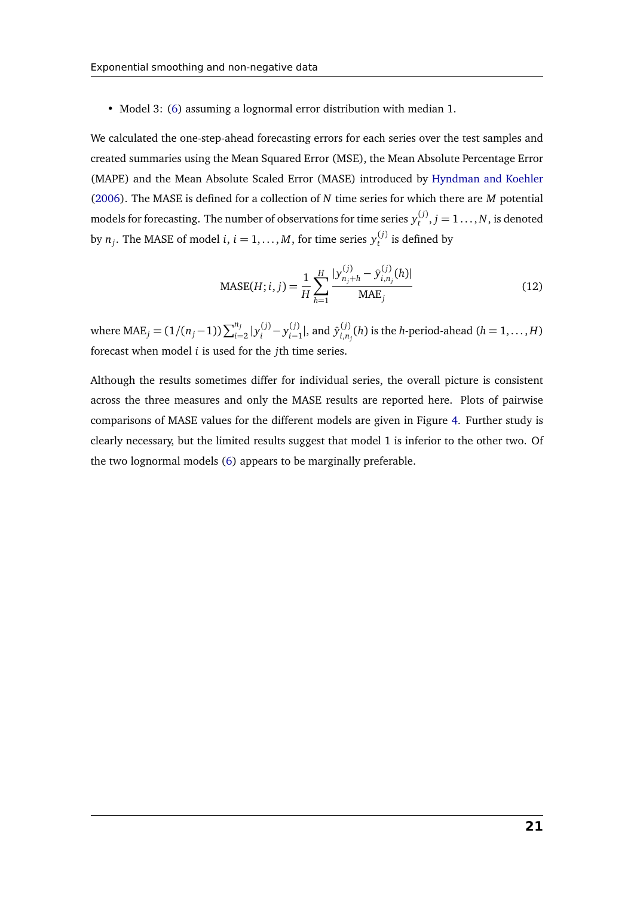• Model 3: [\(6\)](#page-11-0) assuming a lognormal error distribution with median 1.

We calculated the one-step-ahead forecasting errors for each series over the test samples and created summaries using the Mean Squared Error (MSE), the Mean Absolute Percentage Error (MAPE) and the Mean Absolute Scaled Error (MASE) introduced by [Hyndman and Koehler](#page-24-13) [\(2006\)](#page-24-13). The MASE is defined for a collection of *N* time series for which there are *M* potential models for forecasting. The number of observations for time series  $y_t^{(j)}, j=1\dots,N,$  is denoted by  $n_j$ . The MASE of model *i*, *i* = 1, . . . , *M*, for time series  $y_t^{(j)}$  is defined by

$$
\text{MASE}(H; i, j) = \frac{1}{H} \sum_{h=1}^{H} \frac{|y_{n_j+h}^{(j)} - \hat{y}_{i,n_j}^{(j)}(h)|}{\text{MAE}_j}
$$
(12)

where  $\text{MAE}_j = (1/(n_j-1))\sum_{i=2}^{n_j} |y_i^{(j)} - y_{i-1}^{(j)}|$ , and  $\hat{y}_{i,n}^{(j)}$  $\sum_{i,n_j}^{(j)}(h)$  is the *h*-period-ahead (*h* = 1, . . . , *H*) forecast when model *i* is used for the *j*th time series.

Although the results sometimes differ for individual series, the overall picture is consistent across the three measures and only the MASE results are reported here. Plots of pairwise comparisons of MASE values for the different models are given in Figure [4.](#page-22-0) Further study is clearly necessary, but the limited results suggest that model 1 is inferior to the other two. Of the two lognormal models [\(6\)](#page-11-0) appears to be marginally preferable.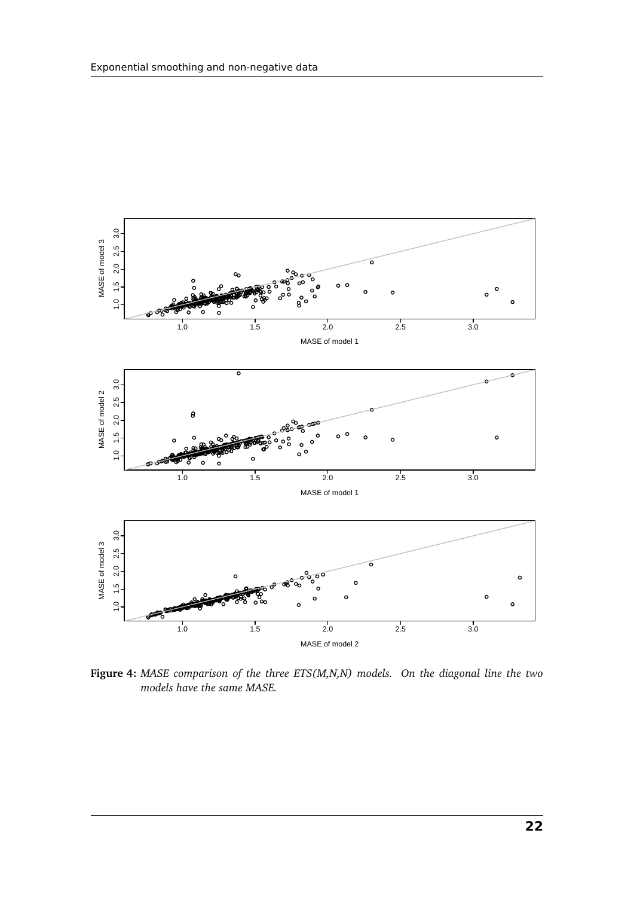<span id="page-22-0"></span>

**Figure 4:** *MASE comparison of the three ETS(M,N,N) models. On the diagonal line the two models have the same MASE.*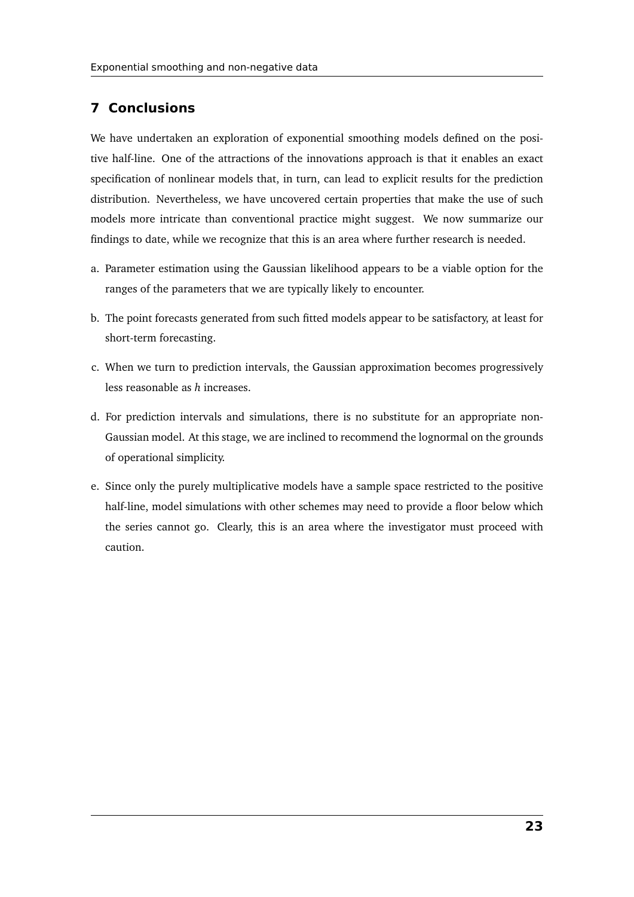## <span id="page-23-0"></span>**7 Conclusions**

We have undertaken an exploration of exponential smoothing models defined on the positive half-line. One of the attractions of the innovations approach is that it enables an exact specification of nonlinear models that, in turn, can lead to explicit results for the prediction distribution. Nevertheless, we have uncovered certain properties that make the use of such models more intricate than conventional practice might suggest. We now summarize our findings to date, while we recognize that this is an area where further research is needed.

- a. Parameter estimation using the Gaussian likelihood appears to be a viable option for the ranges of the parameters that we are typically likely to encounter.
- b. The point forecasts generated from such fitted models appear to be satisfactory, at least for short-term forecasting.
- c. When we turn to prediction intervals, the Gaussian approximation becomes progressively less reasonable as *h* increases.
- d. For prediction intervals and simulations, there is no substitute for an appropriate non-Gaussian model. At this stage, we are inclined to recommend the lognormal on the grounds of operational simplicity.
- e. Since only the purely multiplicative models have a sample space restricted to the positive half-line, model simulations with other schemes may need to provide a floor below which the series cannot go. Clearly, this is an area where the investigator must proceed with caution.